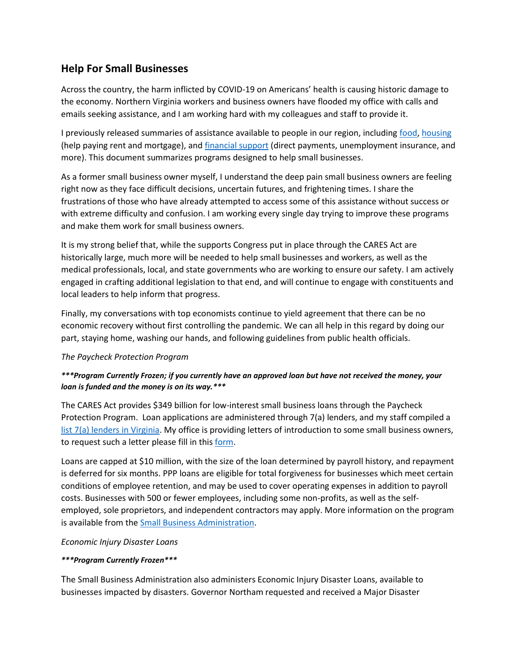# **Help For Small Businesses**

Across the country, the harm inflicted by COVID-19 on Americans' health is causing historic damage to the economy. Northern Virginia workers and business owners have flooded my office with calls and emails seeking assistance, and I am working hard with my colleagues and staff to provide it.

I previously released summaries of assistance available to people in our region, including [food,](https://beyer.house.gov/uploadedfiles/northern_virginia_food_security_resources.pdf) [housing](https://beyer.house.gov/uploadedfiles/housing_assistance.pdf) (help paying rent and mortgage), and [financial support](https://beyer.house.gov/uploadedfiles/covid-19_financial_assistance_summary.pdf) (direct payments, unemployment insurance, and more). This document summarizes programs designed to help small businesses.

As a former small business owner myself, I understand the deep pain small business owners are feeling right now as they face difficult decisions, uncertain futures, and frightening times. I share the frustrations of those who have already attempted to access some of this assistance without success or with extreme difficulty and confusion. I am working every single day trying to improve these programs and make them work for small business owners.

It is my strong belief that, while the supports Congress put in place through the CARES Act are historically large, much more will be needed to help small businesses and workers, as well as the medical professionals, local, and state governments who are working to ensure our safety. I am actively engaged in crafting additional legislation to that end, and will continue to engage with constituents and local leaders to help inform that progress.

Finally, my conversations with top economists continue to yield agreement that there can be no economic recovery without first controlling the pandemic. We can all help in this regard by doing our part, staying home, washing our hands, and following guidelines from public health officials.

# *The Paycheck Protection Program*

# *\*\*\*Program Currently Frozen; if you currently have an approved loan but have not received the money, your loan is funded and the money is on its way.\*\*\**

The CARES Act provides \$349 billion for low-interest small business loans through the Paycheck Protection Program. Loan applications are administered through 7(a) lenders, and my staff compiled a [list 7\(a\) lenders in Virginia.](https://beyer.house.gov/uploadedfiles/virginia_7a_lenders_list_125.pdf) My office is providing letters of introduction to some small business owners, to request such a letter please fill in this [form.](https://beyer.house.gov/forms/form/?ID=39)

Loans are capped at \$10 million, with the size of the loan determined by payroll history, and repayment is deferred for six months. PPP loans are eligible for total forgiveness for businesses which meet certain conditions of employee retention, and may be used to cover operating expenses in addition to payroll costs. Businesses with 500 or fewer employees, including some non-profits, as well as the selfemployed, sole proprietors, and independent contractors may apply. More information on the program is available from the [Small Business Administration.](https://www.sba.gov/funding-programs/loans/coronavirus-relief-options/paycheck-protection-program-ppp)

#### *Economic Injury Disaster Loans*

#### *\*\*\*Program Currently Frozen\*\*\**

The Small Business Administration also administers Economic Injury Disaster Loans, available to businesses impacted by disasters. Governor Northam requested and received a Major Disaster